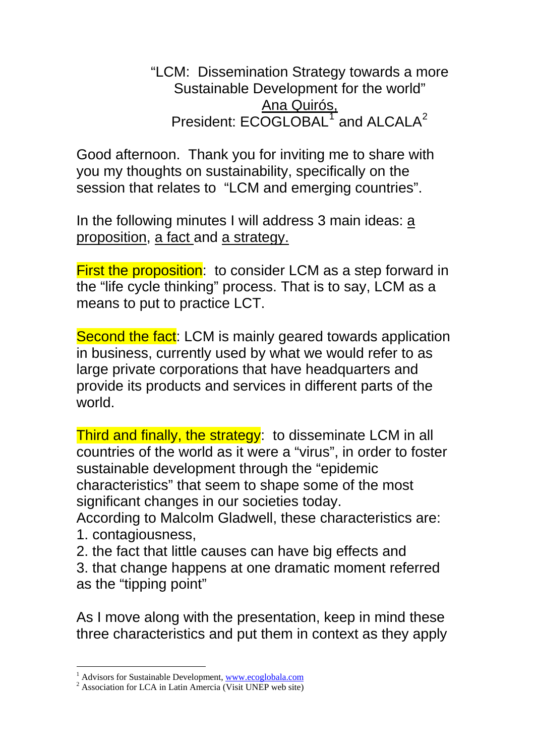"LCM: Dissemination Strategy towards a more Sustainable Development for the world" Ana Quirós, President: ECOGLOBAL<sup>[1](#page-0-0)</sup> and ALCALA<sup>[2](#page-0-1)</sup>

Good afternoon. Thank you for inviting me to share with you my thoughts on sustainability, specifically on the session that relates to "LCM and emerging countries".

In the following minutes I will address 3 main ideas: a proposition, a fact and a strategy.

**First the proposition:** to consider LCM as a step forward in the "life cycle thinking" process. That is to say, LCM as a means to put to practice LCT.

Second the fact: LCM is mainly geared towards application in business, currently used by what we would refer to as large private corporations that have headquarters and provide its products and services in different parts of the world.

Third and finally, the strategy: to disseminate LCM in all countries of the world as it were a "virus", in order to foster sustainable development through the "epidemic characteristics" that seem to shape some of the most significant changes in our societies today.

According to Malcolm Gladwell, these characteristics are: 1. contagiousness,

2. the fact that little causes can have big effects and 3. that change happens at one dramatic moment referred as the "tipping point"

As I move along with the presentation, keep in mind these three characteristics and put them in context as they apply

<sup>1</sup> <sup>1</sup> Advisors for Sustainable Development, [www.ecoglobala.com](http://www.ecoglobala.com/)  $\frac{2}{3}$  Association for LGA in Latin America (*Misit* UNED web site)

<span id="page-0-1"></span><span id="page-0-0"></span><sup>&</sup>lt;sup>2</sup> Association for LCA in Latin Amercia (Visit UNEP web site)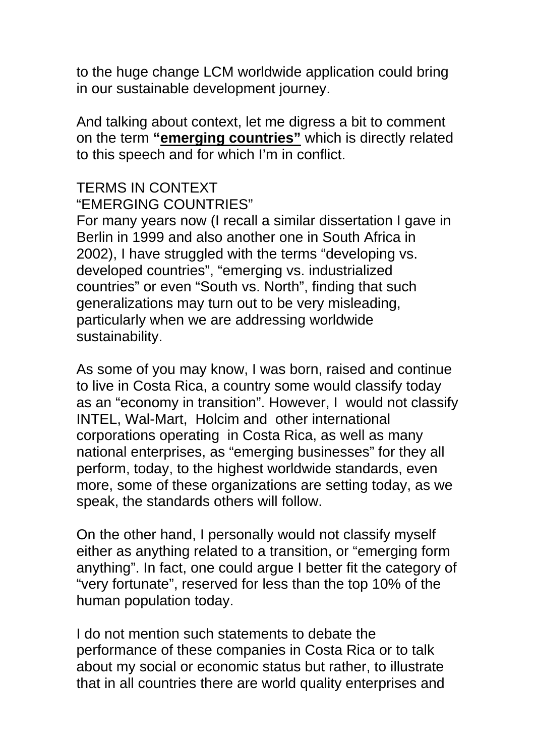to the huge change LCM worldwide application could bring in our sustainable development journey.

And talking about context, let me digress a bit to comment on the term **"emerging countries"** which is directly related to this speech and for which I'm in conflict.

## TERMS IN CONTEXT "EMERGING COUNTRIES"

For many years now (I recall a similar dissertation I gave in Berlin in 1999 and also another one in South Africa in 2002), I have struggled with the terms "developing vs. developed countries", "emerging vs. industrialized countries" or even "South vs. North", finding that such generalizations may turn out to be very misleading, particularly when we are addressing worldwide sustainability.

As some of you may know, I was born, raised and continue to live in Costa Rica, a country some would classify today as an "economy in transition". However, I would not classify INTEL, Wal-Mart, Holcim and other international corporations operating in Costa Rica, as well as many national enterprises, as "emerging businesses" for they all perform, today, to the highest worldwide standards, even more, some of these organizations are setting today, as we speak, the standards others will follow.

On the other hand, I personally would not classify myself either as anything related to a transition, or "emerging form anything". In fact, one could argue I better fit the category of "very fortunate", reserved for less than the top 10% of the human population today.

I do not mention such statements to debate the performance of these companies in Costa Rica or to talk about my social or economic status but rather, to illustrate that in all countries there are world quality enterprises and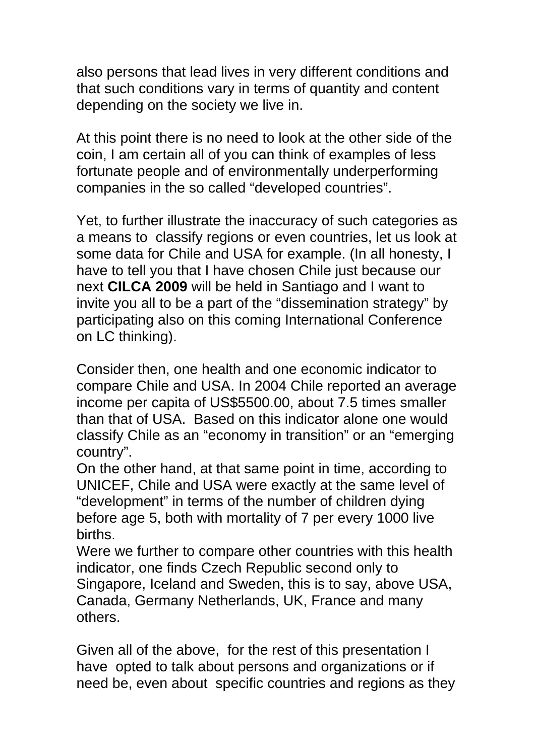also persons that lead lives in very different conditions and that such conditions vary in terms of quantity and content depending on the society we live in.

At this point there is no need to look at the other side of the coin, I am certain all of you can think of examples of less fortunate people and of environmentally underperforming companies in the so called "developed countries".

Yet, to further illustrate the inaccuracy of such categories as a means to classify regions or even countries, let us look at some data for Chile and USA for example. (In all honesty, I have to tell you that I have chosen Chile just because our next **CILCA 2009** will be held in Santiago and I want to invite you all to be a part of the "dissemination strategy" by participating also on this coming International Conference on LC thinking).

Consider then, one health and one economic indicator to compare Chile and USA. In 2004 Chile reported an average income per capita of US\$5500.00, about 7.5 times smaller than that of USA. Based on this indicator alone one would classify Chile as an "economy in transition" or an "emerging country".

On the other hand, at that same point in time, according to UNICEF, Chile and USA were exactly at the same level of "development" in terms of the number of children dying before age 5, both with mortality of 7 per every 1000 live births.

Were we further to compare other countries with this health indicator, one finds Czech Republic second only to Singapore, Iceland and Sweden, this is to say, above USA, Canada, Germany Netherlands, UK, France and many others.

Given all of the above, for the rest of this presentation I have opted to talk about persons and organizations or if need be, even about specific countries and regions as they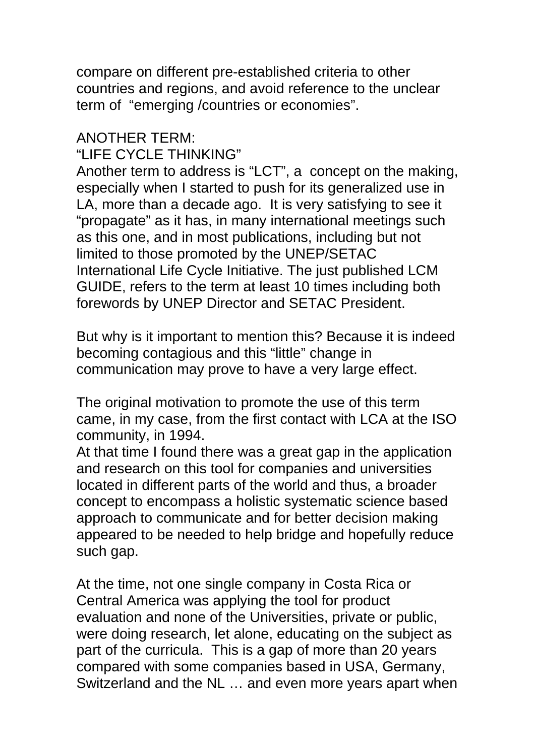compare on different pre-established criteria to other countries and regions, and avoid reference to the unclear term of "emerging /countries or economies".

## ANOTHER TERM: "LIFE CYCLE THINKING"

Another term to address is "LCT", a concept on the making, especially when I started to push for its generalized use in LA, more than a decade ago. It is very satisfying to see it "propagate" as it has, in many international meetings such as this one, and in most publications, including but not limited to those promoted by the UNEP/SETAC International Life Cycle Initiative. The just published LCM GUIDE, refers to the term at least 10 times including both forewords by UNEP Director and SETAC President.

But why is it important to mention this? Because it is indeed becoming contagious and this "little" change in communication may prove to have a very large effect.

The original motivation to promote the use of this term came, in my case, from the first contact with LCA at the ISO community, in 1994.

At that time I found there was a great gap in the application and research on this tool for companies and universities located in different parts of the world and thus, a broader concept to encompass a holistic systematic science based approach to communicate and for better decision making appeared to be needed to help bridge and hopefully reduce such gap.

At the time, not one single company in Costa Rica or Central America was applying the tool for product evaluation and none of the Universities, private or public, were doing research, let alone, educating on the subject as part of the curricula. This is a gap of more than 20 years compared with some companies based in USA, Germany, Switzerland and the NL … and even more years apart when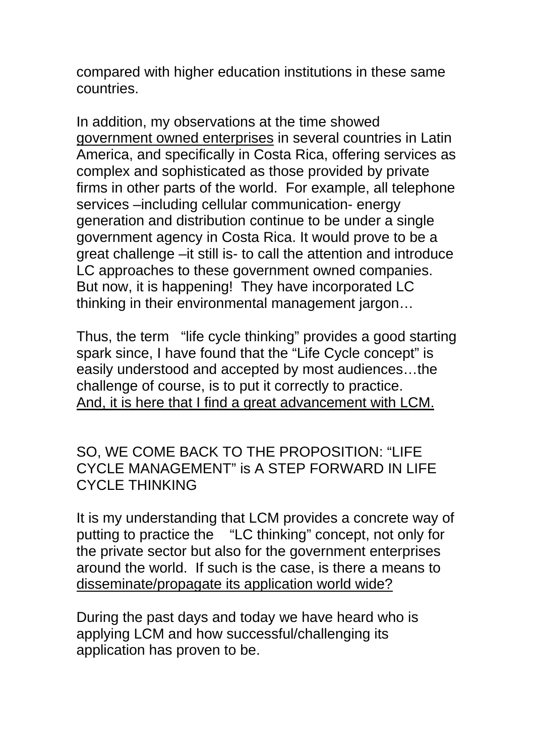compared with higher education institutions in these same countries.

In addition, my observations at the time showed government owned enterprises in several countries in Latin America, and specifically in Costa Rica, offering services as complex and sophisticated as those provided by private firms in other parts of the world. For example, all telephone services –including cellular communication- energy generation and distribution continue to be under a single government agency in Costa Rica. It would prove to be a great challenge –it still is- to call the attention and introduce LC approaches to these government owned companies. But now, it is happening! They have incorporated LC thinking in their environmental management jargon…

Thus, the term "life cycle thinking" provides a good starting spark since, I have found that the "Life Cycle concept" is easily understood and accepted by most audiences…the challenge of course, is to put it correctly to practice. And, it is here that I find a great advancement with LCM.

## SO, WE COME BACK TO THE PROPOSITION: "LIFE CYCLE MANAGEMENT" is A STEP FORWARD IN LIFE CYCLE THINKING

It is my understanding that LCM provides a concrete way of putting to practice the "LC thinking" concept, not only for the private sector but also for the government enterprises around the world. If such is the case, is there a means to disseminate/propagate its application world wide?

During the past days and today we have heard who is applying LCM and how successful/challenging its application has proven to be.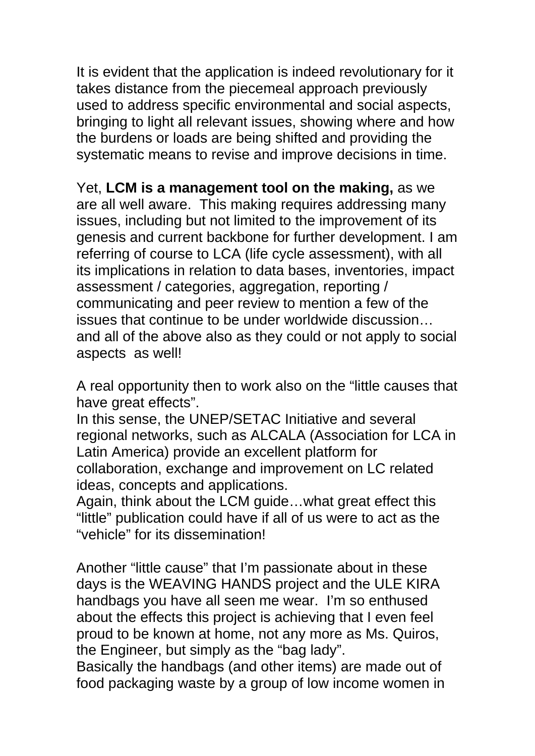It is evident that the application is indeed revolutionary for it takes distance from the piecemeal approach previously used to address specific environmental and social aspects, bringing to light all relevant issues, showing where and how the burdens or loads are being shifted and providing the systematic means to revise and improve decisions in time.

Yet, **LCM is a management tool on the making,** as we are all well aware. This making requires addressing many issues, including but not limited to the improvement of its genesis and current backbone for further development. I am referring of course to LCA (life cycle assessment), with all its implications in relation to data bases, inventories, impact assessment / categories, aggregation, reporting / communicating and peer review to mention a few of the issues that continue to be under worldwide discussion… and all of the above also as they could or not apply to social aspects as well!

A real opportunity then to work also on the "little causes that have great effects".

In this sense, the UNEP/SETAC Initiative and several regional networks, such as ALCALA (Association for LCA in Latin America) provide an excellent platform for collaboration, exchange and improvement on LC related ideas, concepts and applications.

Again, think about the LCM guide…what great effect this "little" publication could have if all of us were to act as the "vehicle" for its dissemination!

Another "little cause" that I'm passionate about in these days is the WEAVING HANDS project and the ULE KIRA handbags you have all seen me wear. I'm so enthused about the effects this project is achieving that I even feel proud to be known at home, not any more as Ms. Quiros, the Engineer, but simply as the "bag lady".

Basically the handbags (and other items) are made out of food packaging waste by a group of low income women in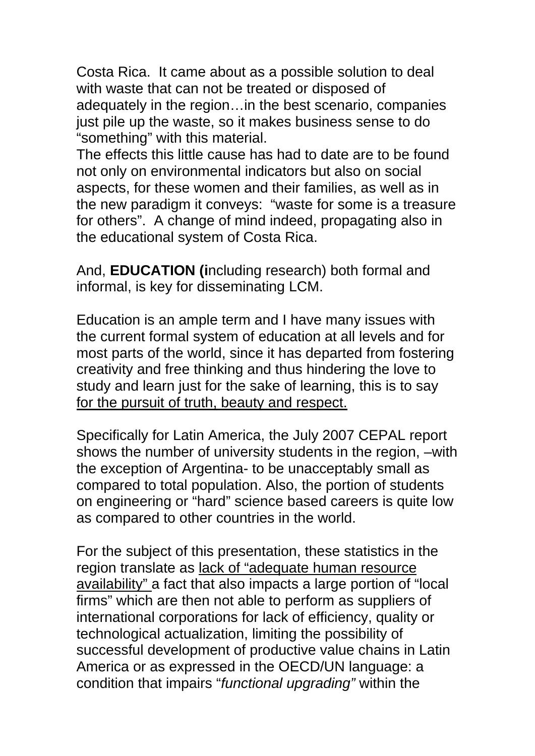Costa Rica. It came about as a possible solution to deal with waste that can not be treated or disposed of adequately in the region…in the best scenario, companies just pile up the waste, so it makes business sense to do "something" with this material.

The effects this little cause has had to date are to be found not only on environmental indicators but also on social aspects, for these women and their families, as well as in the new paradigm it conveys: "waste for some is a treasure for others". A change of mind indeed, propagating also in the educational system of Costa Rica.

And, **EDUCATION (i**ncluding research) both formal and informal, is key for disseminating LCM.

Education is an ample term and I have many issues with the current formal system of education at all levels and for most parts of the world, since it has departed from fostering creativity and free thinking and thus hindering the love to study and learn just for the sake of learning, this is to say for the pursuit of truth, beauty and respect.

Specifically for Latin America, the July 2007 CEPAL report shows the number of university students in the region, –with the exception of Argentina- to be unacceptably small as compared to total population. Also, the portion of students on engineering or "hard" science based careers is quite low as compared to other countries in the world.

For the subject of this presentation, these statistics in the region translate as lack of "adequate human resource availability" a fact that also impacts a large portion of "local firms" which are then not able to perform as suppliers of international corporations for lack of efficiency, quality or technological actualization, limiting the possibility of successful development of productive value chains in Latin America or as expressed in the OECD/UN language: a condition that impairs "*functional upgrading"* within the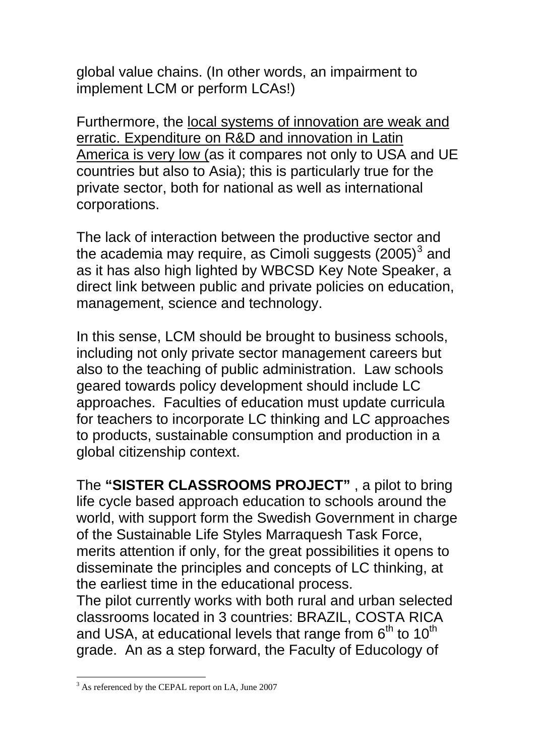global value chains. (In other words, an impairment to implement LCM or perform LCAs!)

Furthermore, the local systems of innovation are weak and erratic. Expenditure on R&D and innovation in Latin America is very low (as it compares not only to USA and UE countries but also to Asia); this is particularly true for the private sector, both for national as well as international corporations.

The lack of interaction between the productive sector and the academia may require, as Cimoli suggests  $(2005)^3$  $(2005)^3$  and as it has also high lighted by WBCSD Key Note Speaker, a direct link between public and private policies on education, management, science and technology.

In this sense, LCM should be brought to business schools, including not only private sector management careers but also to the teaching of public administration. Law schools geared towards policy development should include LC approaches. Faculties of education must update curricula for teachers to incorporate LC thinking and LC approaches to products, sustainable consumption and production in a global citizenship context.

The **"SISTER CLASSROOMS PROJECT"** , a pilot to bring life cycle based approach education to schools around the world, with support form the Swedish Government in charge of the Sustainable Life Styles Marraquesh Task Force, merits attention if only, for the great possibilities it opens to disseminate the principles and concepts of LC thinking, at the earliest time in the educational process.

The pilot currently works with both rural and urban selected classrooms located in 3 countries: BRAZIL, COSTA RICA and USA, at educational levels that range from  $6<sup>th</sup>$  to  $10<sup>th</sup>$ grade. An as a step forward, the Faculty of Educology of

1

<span id="page-7-0"></span><sup>&</sup>lt;sup>3</sup> As referenced by the CEPAL report on LA, June 2007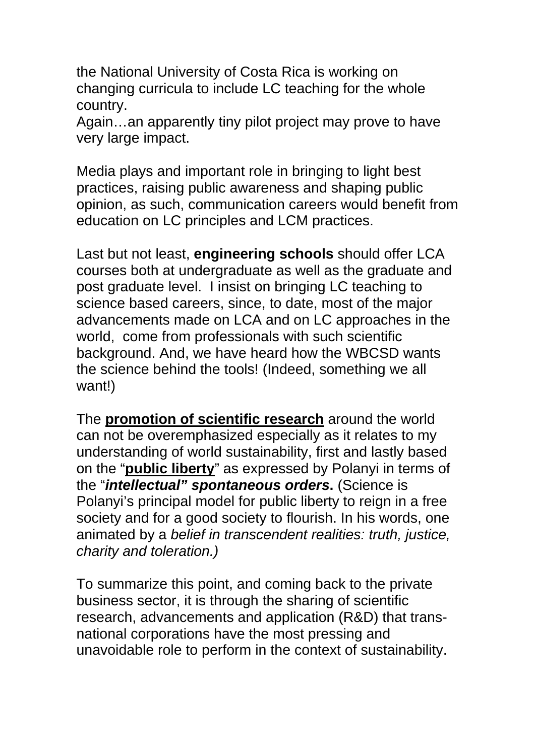the National University of Costa Rica is working on changing curricula to include LC teaching for the whole country.

Again…an apparently tiny pilot project may prove to have very large impact.

Media plays and important role in bringing to light best practices, raising public awareness and shaping public opinion, as such, communication careers would benefit from education on LC principles and LCM practices.

Last but not least, **engineering schools** should offer LCA courses both at undergraduate as well as the graduate and post graduate level. I insist on bringing LC teaching to science based careers, since, to date, most of the major advancements made on LCA and on LC approaches in the world, come from professionals with such scientific background. And, we have heard how the WBCSD wants the science behind the tools! (Indeed, something we all want!)

The **promotion of scientific research** around the world can not be overemphasized especially as it relates to my understanding of world sustainability, first and lastly based on the "**public liberty**" as expressed by Polanyi in terms of the "*intellectual" spontaneous orders***.** (Science is Polanyi's principal model for public liberty to reign in a free society and for a good society to flourish. In his words, one animated by a *belief in transcendent realities: truth, justice, charity and toleration.)* 

To summarize this point, and coming back to the private business sector, it is through the sharing of scientific research, advancements and application (R&D) that transnational corporations have the most pressing and unavoidable role to perform in the context of sustainability.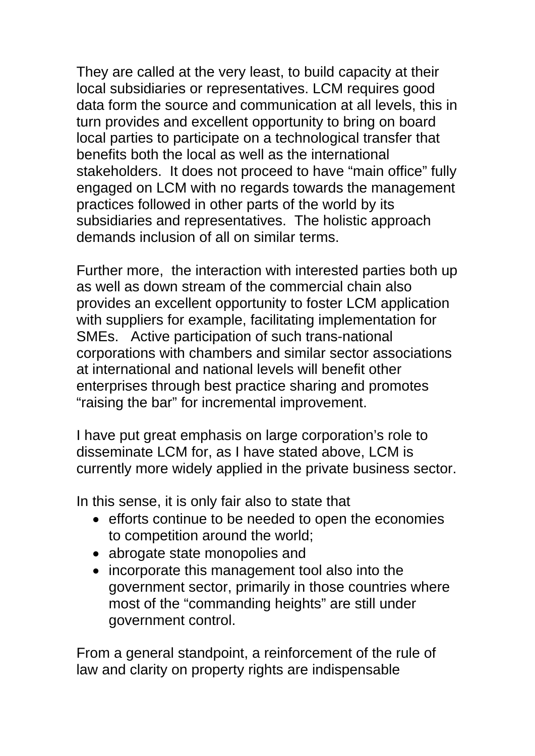They are called at the very least, to build capacity at their local subsidiaries or representatives. LCM requires good data form the source and communication at all levels, this in turn provides and excellent opportunity to bring on board local parties to participate on a technological transfer that benefits both the local as well as the international stakeholders. It does not proceed to have "main office" fully engaged on LCM with no regards towards the management practices followed in other parts of the world by its subsidiaries and representatives. The holistic approach demands inclusion of all on similar terms.

Further more, the interaction with interested parties both up as well as down stream of the commercial chain also provides an excellent opportunity to foster LCM application with suppliers for example, facilitating implementation for SMEs. Active participation of such trans-national corporations with chambers and similar sector associations at international and national levels will benefit other enterprises through best practice sharing and promotes "raising the bar" for incremental improvement.

I have put great emphasis on large corporation's role to disseminate LCM for, as I have stated above, LCM is currently more widely applied in the private business sector.

In this sense, it is only fair also to state that

- efforts continue to be needed to open the economies to competition around the world;
- abrogate state monopolies and
- incorporate this management tool also into the government sector, primarily in those countries where most of the "commanding heights" are still under government control.

From a general standpoint, a reinforcement of the rule of law and clarity on property rights are indispensable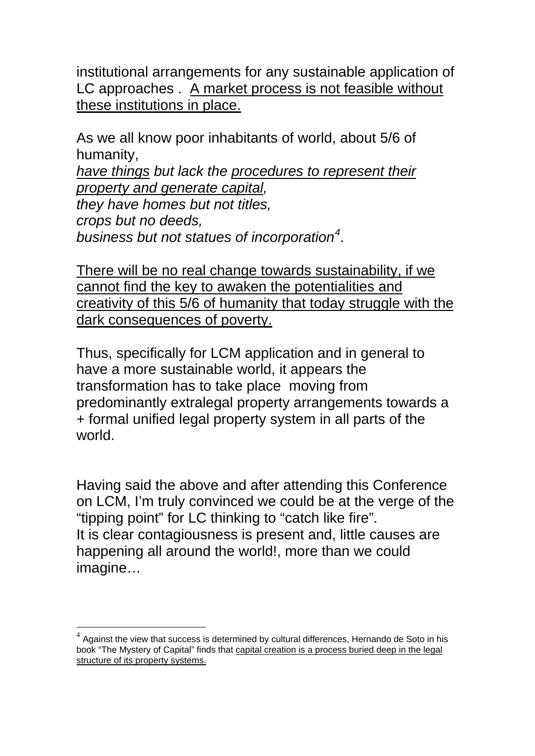institutional arrangements for any sustainable application of LC approaches . A market process is not feasible without these institutions in place.

As we all know poor inhabitants of world, about 5/6 of humanity, *have things but lack the procedures to represent their property and generate capital, they have homes but not titles, crops but no deeds, business but not statues of incorporation[4](#page-10-0) .*

There will be no real change towards sustainability, if we cannot find the key to awaken the potentialities and creativity of this 5/6 of humanity that today struggle with the dark consequences of poverty.

Thus, specifically for LCM application and in general to have a more sustainable world, it appears the transformation has to take place moving from predominantly extralegal property arrangements towards a + formal unified legal property system in all parts of the world.

Having said the above and after attending this Conference on LCM, I'm truly convinced we could be at the verge of the "tipping point" for LC thinking to "catch like fire". It is clear contagiousness is present and, little causes are happening all around the world!, more than we could imagine…

1

<span id="page-10-0"></span> $4$  Against the view that success is determined by cultural differences, Hernando de Soto in his book "The Mystery of Capital" finds that capital creation is a process buried deep in the legal structure of its property systems.